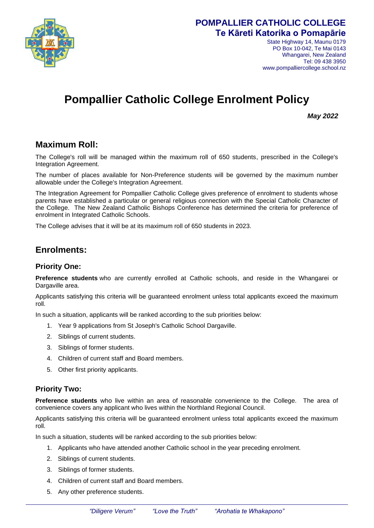

## **POMPALLIER CATHOLIC COLLEGE Te Kāreti Katorika o Pomapārie**

State Highway 14, Maunu 0179 PO Box 10-042, Te Mai 0143 Whangarei, New Zealand Tel: 09 438 3950 www.pompalliercollege.school.nz

# **Pompallier Catholic College Enrolment Policy**

*May 2022* 

# **Maximum Roll:**

The College's roll will be managed within the maximum roll of 650 students, prescribed in the College's Integration Agreement.

The number of places available for Non-Preference students will be governed by the maximum number allowable under the College's Integration Agreement.

The Integration Agreement for Pompallier Catholic College gives preference of enrolment to students whose parents have established a particular or general religious connection with the Special Catholic Character of the College. The New Zealand Catholic Bishops Conference has determined the criteria for preference of enrolment in Integrated Catholic Schools.

The College advises that it will be at its maximum roll of 650 students in 2023.

## **Enrolments:**

#### **Priority One:**

**Preference students** who are currently enrolled at Catholic schools, and reside in the Whangarei or Dargaville area.

Applicants satisfying this criteria will be guaranteed enrolment unless total applicants exceed the maximum roll.

In such a situation, applicants will be ranked according to the sub priorities below:

- 1. Year 9 applications from St Joseph's Catholic School Dargaville.
- 2. Siblings of current students.
- 3. Siblings of former students.
- 4. Children of current staff and Board members.
- 5. Other first priority applicants.

#### **Priority Two:**

**Preference students** who live within an area of reasonable convenience to the College. The area of convenience covers any applicant who lives within the Northland Regional Council.

Applicants satisfying this criteria will be guaranteed enrolment unless total applicants exceed the maximum roll.

In such a situation, students will be ranked according to the sub priorities below:

- 1. Applicants who have attended another Catholic school in the year preceding enrolment.
- 2. Siblings of current students.
- 3. Siblings of former students.
- 4. Children of current staff and Board members.
- 5. Any other preference students.